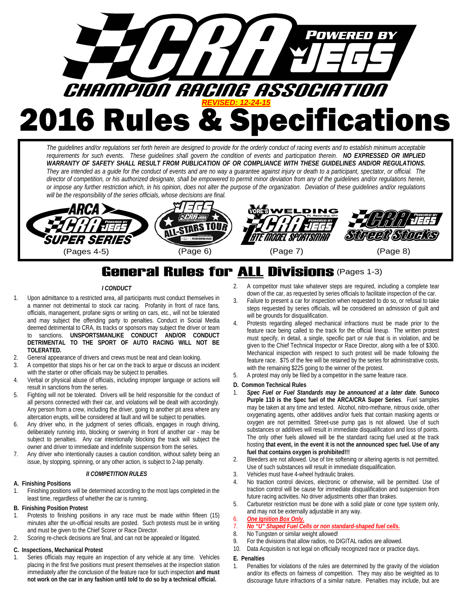

*The guidelines and/or regulations set forth herein are designed to provide for the orderly conduct of racing events and to establish minimum acceptable requirements for such events. These guidelines shall govern the condition of events and participation therein. NO EXPRESSED OR IMPLIED WARRANTY OF SAFETY SHALL RESULT FROM PUBLICATION OF OR COMPLIANCE WITH THESE GUIDELINES AND/OR REGULATIONS. They are intended as a guide for the conduct of events and are no way a guarantee against injury or death to a participant, spectator, or official. The director of competition, or his authorized designate, shall be empowered to permit minor deviation from any of the guidelines and/or regulations herein, or impose any further restriction which, in his opinion, does not alter the purpose of the organization. Deviation of these guidelines and/or regulations will be the responsibility of the series officials, whose decisions are final.*



# **General Rules for <u>ALL</u> Divisions** (Pages 1-3)

## *I CONDUCT*

- 1. Upon admittance to a restricted area, all participants must conduct themselves in a manner not detrimental to stock car racing. Profanity in front of race fans, officials, management, profane signs or writing on cars, etc., will not be tolerated and may subject the offending party to penalties. Conduct in Social Media deemed detrimental to CRA, its tracks or sponsors may subject the driver or team to sanctions. **UNSPORTSMANLIKE CONDUCT AND/OR CONDUCT DETRIMENTAL TO THE SPORT OF AUTO RACING WILL NOT BE TOLERATED.**
- 2. General appearance of drivers and crews must be neat and clean looking.
- 3. A competitor that stops his or her car on the track to argue or discuss an incident with the starter or other officials may be subject to penalties.
- 4. Verbal or physical abuse of officials, including improper language or actions will result in sanctions from the series.
- 5. Fighting will not be tolerated. Drivers will be held responsible for the conduct of all persons connected with their car, and violations will be dealt with accordingly. Any person from a crew, including the driver, going to another pit area where any altercation erupts, will be considered at fault and will be subject to penalties.
- Any driver who, in the judgment of series officials, engages in rough driving, deliberately running into, blocking or swerving in front of another car - may be subject to penalties. Any car intentionally blocking the track will subject the owner and driver to immediate and indefinite suspension from the series.
- 7. Any driver who intentionally causes a caution condition, without safety being an issue, by stopping, spinning, or any other action, is subject to 2-lap penalty.

#### *II COMPETITION RULES*

#### **A. Finishing Positions**

Finishing positions will be determined according to the most laps completed in the least time, regardless of whether the car is running.

#### **B. Finishing Position Protest**

- 1. Protests to finishing positions in any race must be made within fifteen (15) minutes after the un-official results are posted. Such protests must be in writing and must be given to the Chief Scorer or Race Director.
- 2. Scoring re-check decisions are final, and can not be appealed or litigated.

#### **C. Inspections, Mechanical Protest**

Series officials may require an inspection of any vehicle at any time. Vehicles placing in the first five positions must present themselves at the inspection station immediately after the conclusion of the feature race for such inspection **and must not work on the car in any fashion until told to do so by a technical official.**

- 2. A competitor must take whatever steps are required, including a complete tear down of the car, as requested by series officials to facilitate inspection of the car.
- 3. Failure to present a car for inspection when requested to do so, or refusal to take steps requested by series officials, will be considered an admission of guilt and will be grounds for disqualification.
- 4. Protests regarding alleged mechanical infractions must be made prior to the feature race being called to the track for the official lineup. The written protest must specify, in detail, a single, specific part or rule that is in violation, and be given to the Chief Technical Inspector or Race Director, along with a fee of \$300. Mechanical inspection with respect to such protest will be made following the feature race. \$75 of the fee will be retained by the series for administrative costs, with the remaining \$225 going to the winner of the protest.
- 5. A protest may only be filed by a competitor in the same feature race.

#### **D. Common Technical Rules**

- 1. *Spec Fuel or Fuel Standards may be announced at a later date*. **Sunoco Purple 110 is the Spec fuel of the ARCA/CRA Super Series**. Fuel samples may be taken at any time and tested. Alcohol, nitro-methane, nitrous oxide, other oxygenating agents, other additives and/or fuels that contain masking agents or oxygen are not permitted. Street-use pump gas is not allowed. Use of such substances or additives will result in immediate disqualification and loss of points. The only other fuels allowed will be the standard racing fuel used at the track hosting **that event, in the event it is not the announced spec fuel. Use of any fuel that contains oxygen is prohibited!!!**
- 2. Bleeders are not allowed. Use of tire softening or altering agents is not permitted. Use of such substances will result in immediate disqualification.
- 3. Vehicles must have 4-wheel hydraulic brakes.
- No traction control devices, electronic or otherwise, will be permitted. Use of traction control will be cause for immediate disqualification and suspension from future racing activities. No driver adjustments other than brakes.
- 5. Carburetor restriction must be done with a solid plate or cone type system only, and may not be externally adjustable in any way.

#### 6. *One Ignition Box Only.*

#### 7. *No "U" Shaped Fuel Cells or non standard-shaped fuel cells.*

- 8. No Tungsten or similar weight allowed!
- 9. For the divisions that allow radios, no DIGITAL radios are allowed.<br>10. Data Acquisition is not legal on officially recognized race or practic
- Data Acquisition is not legal on officially recognized race or practice days.
- **E. Penalties**
- 1. Penalties for violations of the rules are determined by the gravity of the violation and/or its effects on fairness of competition. They may also be weighted as to discourage future infractions of a similar nature. Penalties may include, but are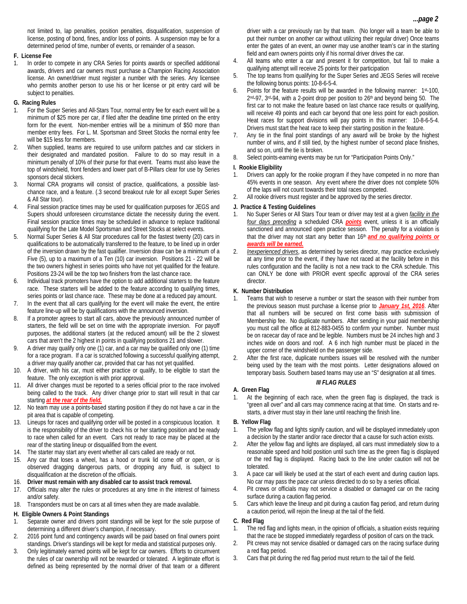not limited to, lap penalties, position penalties, disqualification, suspension of license, posting of bond, fines, and/or loss of points. A suspension may be for a determined period of time, number of events, or remainder of a season.

# **F. License Fee**

In order to compete in any CRA Series for points awards or specified additional awards, drivers and car owners must purchase a Champion Racing Association license. An owner/driver must register a number with the series. Any licensee who permits another person to use his or her license or pit entry card will be subject to penalties.

#### **G. Racing Rules**

- 1. For the Super Series and All-Stars Tour, normal entry fee for each event will be a minimum of \$25 more per car, if filed after the deadline time printed on the entry form for the event. Non-member entries will be a minimum of \$50 more than member entry fees. For L. M. Sportsman and Street Stocks the normal entry fee will be \$15 less for members.
- 2. When supplied, teams are required to use uniform patches and car stickers in their designated and mandated position. Failure to do so may result in a minimum penalty of 10% of their purse for that event. Teams must also leave the top of windshield, front fenders and lower part of B-Pillars clear for use by Series sponsors decal stickers.
- 3. Normal CRA programs will consist of practice, qualifications, a possible lastchance race, and a feature. (.3 second breakout rule for all except Super Series & All Star tour).
- 4. Final session practice times may be used for qualification purposes for JEGS and Supers should unforeseen circumstance dictate the necessity during the event. Final session practice times may be scheduled in advance to replace traditional qualifying for the Late Model Sportsman and Street Stocks at select events.
- 5. Normal Super Series & All Star procedures call for the fastest twenty (20) cars in qualifications to be automatically transferred to the feature, to be lined up in order of the inversion drawn by the fast qualifier. Inversion draw can be a minimum of a Five (5), up to a maximum of a Ten (10) car inversion. Positions 21 - 22 will be the two owners highest in series points who have not yet qualified for the feature. Positions 23-24 will be the top two finishers from the last chance race.
- 6. Individual track promoters have the option to add additional starters to the feature race. These starters will be added to the feature according to qualifying times, series points or last chance race. These may be done at a reduced pay amount.
- 7. In the event that all cars qualifying for the event will make the event, the entire feature line-up will be by qualifications with the announced inversion.
- 8. If a promoter agrees to start all cars, above the previously announced number of starters, the field will be set on time with the appropriate inversion. For payoff purposes, the additional starters (at the reduced amount) will be the 2 slowest cars that aren't the 2 highest in points in qualifying positions 21 and slower.
- 9. A driver may qualify only one (1) car, and a car may be qualified only one (1) time for a race program. If a car is scratched following a successful qualifying attempt, a driver may qualify another car, provided that car has not yet qualified.
- 10. A driver, with his car, must either practice or qualify, to be eligible to start the feature. The only exception is with prior approval.
- 11. All driver changes must be reported to a series official prior to the race involved being called to the track. Any driver change prior to start will result in that car starting *at the rear of the field.*
- 12. No team may use a points-based starting position if they do not have a car in the pit area that is capable of competing.
- 13. Lineups for races and qualifying order will be posted in a conspicuous location. It is the responsibility of the driver to check his or her starting position and be ready to race when called for an event. Cars not ready to race may be placed at the rear of the starting lineup or disqualified from the event.
- 14. The starter may start any event whether all cars called are ready or not.
- 15. Any car that loses a wheel, has a hood or trunk lid come off or open, or is observed dragging dangerous parts, or dropping any fluid, is subject to disqualification at the discretion of the officials.
- 16. **Driver must remain with any disabled car to assist track removal.**
- 17. Officials may alter the rules or procedures at any time in the interest of fairness and/or safety.
- 18. Transponders must be on cars at all times when they are made available.

## **H. Eligible Owners & Point Standings**

- 1. Separate owner and drivers point standings will be kept for the sole purpose of determining a different driver's champion, if necessary.
- 2. 2016 point fund and contingency awards will be paid based on final owners point standings. Driver's standings will be kept for media and statistical purposes only.
- 3. Only legitimately earned points will be kept for car owners. Efforts to circumvent the rules of car ownership will not be rewarded or tolerated. A legitimate effort is defined as being represented by the normal driver of that team or a different
- 4. All teams who enter a car and present it for competition, but fail to make a qualifying attempt will receive 25 points for their participation
- 5. The top teams from qualifying for the Super Series and JEGS Series will receive the following bonus points: 10-8-6-5-4.
- 6. Points for the feature results will be awarded in the following manner: 1st-100, 2nd-97, 3rd-94, with a 2-point drop per position to 26th and beyond being 50. The first car to not make the feature based on last chance race results or qualifying, will receive 49 points and each car beyond that one less point for each position. Heat races for support divisions will pay points in this manner: 10-8-6-5-4. Drivers must start the heat race to keep their starting position in the feature.
- 7. Any tie in the final point standings of any award will be broke by the highest number of wins, and if still tied, by the highest number of second place finishes, and so on, until the tie is broken.
- 8. Select points-earning events may be run for "Participation Points Only."

#### **I. Rookie Eligibility**

- Drivers can apply for the rookie program if they have competed in no more than 45% events in one season. Any event where the driver does not complete 50% of the laps will not count towards their total races competed.
- 2. All rookie drivers must register and be approved by the series director.

#### **J. Practice & Testing Guidelines**

- 1. No Super Series or All Stars Tour team or driver may test at a given *facility in the four days preceding* a scheduled CRA *points* event, unless it is an officially sanctioned and announced open practice session. The penalty for a violation is that the driver may not start any better than 16<sup>th</sup> and no qualifying points or *awards will be earned.*
- 2. *Inexperienced drivers*, as determined by series director, may practice exclusively at any time prior to the event, if they have not raced at the facility before in this rules configuration and the facility is not a new track to the CRA schedule. This can ONLY be done with PRIOR event specific approval of the CRA series director.

#### **K. Number Distribution**

- 1. Teams that wish to reserve a number or start the season with their number from the previous season must purchase a license prior to *January 1st, 2016*. After that all numbers will be secured on first come basis with submission of Membership fee. No duplicate numbers. After sending in your paid membership you must call the office at 812-883-0455 to confirm your number. Number must be on racecar day of race and be legible. Numbers must be 24 inches high and 3 inches wide on doors and roof. A 6 inch high number must be placed in the upper corner of the windshield on the passenger side.
- 2. After the first race, duplicate numbers issues will be resolved with the number being used by the team with the most points. Letter designations allowed on temporary basis. Southern based teams may use an "S" designation at all times.

## *III FLAG RULES*

**A. Green Flag**  1. At the beginning of each race, when the green flag is displayed, the track is "green all over" and all cars may commence racing at that time. On starts and restarts, a driver must stay in their lane until reaching the finish line.

## **B. Yellow Flag**

- 1. The yellow flag and lights signify caution, and will be displayed immediately upon a decision by the starter and/or race director that a cause for such action exists.
- 2. After the yellow flag and lights are displayed, all cars must immediately slow to a reasonable speed and hold position until such time as the green flag is displayed or the red flag is displayed. Racing back to the line under caution will not be tolerated.
- 3. A pace car will likely be used at the start of each event and during caution laps. No car may pass the pace car unless directed to do so by a series official.
- 4. Pit crews or officials may not service a disabled or damaged car on the racing surface during a caution flag period.
- 5. Cars which leave the lineup and pit during a caution flag period, and return during a caution period, will rejoin the lineup at the tail of the field.

#### **C. Red Flag**

- 1. The red flag and lights mean, in the opinion of officials, a situation exists requiring that the race be stopped immediately regardless of position of cars on the track.
- 2. Pit crews may not service disabled or damaged cars on the racing surface during a red flag period.
- 3. Cars that pit during the red flag period must return to the tail of the field.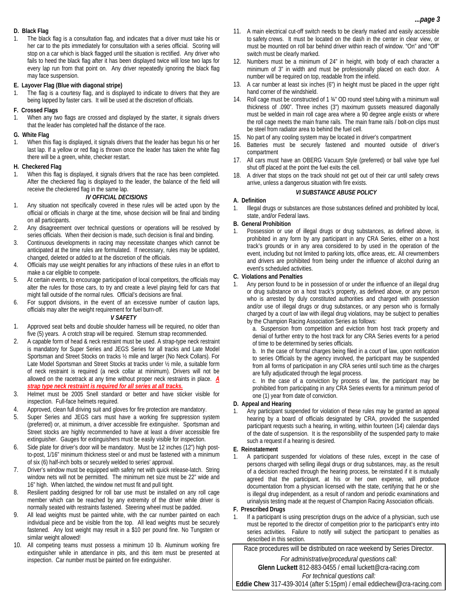#### **D. Black Flag**

The black flag is a consultation flag, and indicates that a driver must take his or her car to the pits immediately for consultation with a series official. Scoring will stop on a car which is black flagged until the situation is rectified. Any driver who fails to heed the black flag after it has been displayed twice will lose two laps for every lap run from that point on. Any driver repeatedly ignoring the black flag may face suspension.

#### **E. Layover Flag (Blue with diagonal stripe)**

1. The flag is a courtesy flag, and is displayed to indicate to drivers that they are being lapped by faster cars. It will be used at the discretion of officials.

## **F. Crossed Flags**

When any two flags are crossed and displayed by the starter, it signals drivers that the leader has completed half the distance of the race.

## **G. White Flag**

When this flag is displayed, it signals drivers that the leader has begun his or her last lap. If a yellow or red flag is thrown once the leader has taken the white flag there will be a green, white, checker restart.

## **H. Checkered Flag**

1. When this flag is displayed, it signals drivers that the race has been completed. After the checkered flag is displayed to the leader, the balance of the field will receive the checkered flag in the same lap.

## *IV OFFICIAL DECISIONS*

- 1. Any situation not specifically covered in these rules will be acted upon by the official or officials in charge at the time, whose decision will be final and binding on all participants.
- 2. Any disagreement over technical questions or operations will be resolved by series officials. When their decision is made, such decision is final and binding.
- 3. Continuous developments in racing may necessitate changes which cannot be anticipated at the time rules are formulated. If necessary, rules may be updated, changed, deleted or added to at the discretion of the officials.
- 4. Officials may use weight penalties for any infractions of these rules in an effort to make a car eligible to compete.
- At certain events, to encourage participation of local competitors, the officials may alter the rules for those cars, to try and create a level playing field for cars that might fall outside of the normal rules. Official's decisions are final.
- For support divisions, in the event of an excessive number of caution laps, officials may alter the weight requirement for fuel burn-off.

## *V SAFETY*

- 1. Approved seat belts and double shoulder harness will be required, no older than five (5) years. A crotch strap will be required. Sternum strap recommended.
- 2. A capable form of head & neck restraint must be used. A strap-type neck restraint is mandatory for Super Series and JEGS Series for all tracks and Late Model Sportsman and Street Stocks on tracks ½ mile and larger (No Neck Collars). For Late Model Sportsman and Street Stocks at tracks under ½ mile, a suitable form of neck restraint is required (a neck collar at minimum). Drivers will not be allowed on the racetrack at any time without proper neck restraints in place. *A strap type neck restraint is required for all series at all tracks.*
- 3. Helmet must be 2005 Snell standard or better and have sticker visible for inspection. Full-face helmets required.
- 4. Approved, clean full driving suit and gloves for fire protection are mandatory.
- Super Series and JEGS cars must have a working fire suppression system (preferred) or, at minimum, a driver accessible fire extinguisher. Sportsman and Street stocks are highly recommended to have at least a driver accessible fire extinguisher. Gauges for extinguishers must be easily visible for inspection.
- Side plate for driver's door will be mandatory. Must be 12 inches (12") high postto-post, 1/16" minimum thickness steel or and must be fastened with a minimum of six (6) half-inch bolts or securely welded to series' approval.
- 7. Driver's window must be equipped with safety net with quick release-latch. String window nets will not be permitted. The minimum net size must be 22" wide and 16" high. When latched, the window net must fit and pull tight.
- Resilient padding designed for roll bar use must be installed on any roll cage member which can be reached by any extremity of the driver while driver is normally seated with restraints fastened. Steering wheel must be padded.
- All lead weights must be painted white, with the car number painted on each individual piece and be visible from the top. All lead weights must be securely fastened. Any lost weight may result in a \$10 per pound fine. No Tungsten or similar weight allowed!
- 10. All competing teams must possess a minimum 10 lb. Aluminum working fire extinguisher while in attendance in pits, and this item must be presented at inspection. Car number must be painted on fire extinguisher.
- 11. A main electrical cut-off switch needs to be clearly marked and easily accessible to safety crews. It must be located on the dash in the center in clear view, or must be mounted on roll bar behind driver within reach of window. "On" and "Off" switch must be clearly marked.
- 12. Numbers must be a minimum of 24" in height, with body of each character a minimum of 3" in width and must be professionally placed on each door. A number will be required on top, readable from the infield.
- 13. A car number at least six inches (6") in height must be placed in the upper right hand corner of the windshield.
- 14. Roll cage must be constructed of 1 ¾" OD round steel tubing with a minimum wall thickness of .090". Three inches (3") maximum gussets measured diagonally must be welded in main roll cage area where a 90 degree angle exists or where the roll cage meets the main frame rails. The main frame rails / bolt-on clips must be steel from radiator area to behind the fuel cell.
- 15. No part of any cooling system may be located in driver's compartment
- 16. Batteries must be securely fastened and mounted outside of driver's compartment
- 17. All cars must have an OBERG Vacuum Style (preferred) or ball valve type fuel shut off placed at the point the fuel exits the cell.
- A driver that stops on the track should not get out of their car until safety crews arrive, unless a dangerous situation with fire exists.

## *VI SUBSTANCE ABUSE POLICY*

## **A. Definition**

1. Illegal drugs or substances are those substances defined and prohibited by local, state, and/or Federal laws.

#### **B. General Prohibition**

1. Possession or use of illegal drugs or drug substances, as defined above, is prohibited in any form by any participant in any CRA Series, either on a host track's grounds or in any area considered to by used in the operation of the event, including but not limited to parking lots, office areas, etc. All crewmembers and drivers are prohibited from being under the influence of alcohol during an event's scheduled activities.

## **C. Violations and Penalties**

1. Any person found to be in possession of or under the influence of an illegal drug or drug substance on a host track's property, as defined above, or any person who is arrested by duly constituted authorities and charged with possession and/or use of illegal drugs or drug substances, or any person who is formally charged by a court of law with illegal drug violations, may be subject to penalties by the Champion Racing Association Series as follows:

a. Suspension from competition and eviction from host track property and denial of further entry to the host track for any CRA Series events for a period of time to be determined by series officials.

b. In the case of formal charges being filed in a court of law, upon notification to series Officials by the agency involved, the participant may be suspended from all forms of participation in any CRA series until such time as the charges are fully adjudicated through the legal process.

c. In the case of a conviction by process of law, the participant may be prohibited from participating in any CRA Series events for a minimum period of one (1) year from date of conviction.

## **D. Appeal and Hearing**

1. Any participant suspended for violation of these rules may be granted an appeal hearing by a board of officials designated by CRA, provided the suspended participant requests such a hearing, in writing, within fourteen (14) calendar days of the date of suspension. It is the responsibility of the suspended party to make such a request if a hearing is desired.

## **E. Reinstatement**

A participant suspended for violations of these rules, except in the case of persons charged with selling illegal drugs or drug substances, may, as the result of a decision reached through the hearing process, be reinstated if it is mutually agreed that the participant, at his or her own expense, will produce documentation from a physician licensed with the state, certifying that he or she is illegal drug independent, as a result of random and periodic examinations and urinalysis testing made at the request of Champion Racing Association officials.

## **F. Prescribed Drugs**

1. If a participant is using prescription drugs on the advice of a physician, such use must be reported to the director of competition prior to the participant's entry into series activities. Failure to notify will subject the participant to penalties as described in this section.

Race procedures will be distributed on race weekend by Series Director.

*For administrative/procedural questions call:* 

**Glenn Luckett** 812-883-0455 / email luckett@cra-racing.com *For technical questions call:* 

**Eddie Chew** 317-439-3014 (after 5:15pm) / email eddiechew@cra-racing.com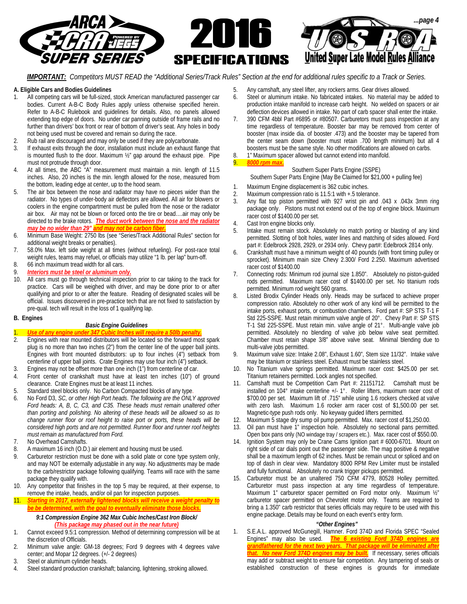

*IMPORTANT: Competitors MUST READ the "Additional Series/Track Rules" Section at the end for additional rules specific to a Track or Series.* 

#### **A. Eligible Cars and Bodies Guidelines**

- All competing cars will be full-sized, stock American manufactured passenger car bodies. Current A-B-C Body Rules apply unless otherwise specified herein. Refer to A-B-C Rulebook and guidelines for details. Also, no panels allowed extending top edge of doors. No under car panning outside of frame rails and no further than drivers' box front or rear of bottom of driver's seat. Any holes in body not being used must be covered and remain so during the race.
- 2. Rub rail are discouraged and may only be used if they are polycarbonate.
- 3. If exhaust exits through the door, installation must include an exhaust flange that is mounted flush to the door. Maximum ½" gap around the exhaust pipe. Pipe must not protrude through door.
- 4. At all times, the ABC "A" measurement must maintain a min. length of 11.5 inches. Also, 20 inches is the min. length allowed for the nose, measured from the bottom, leading edge at center, up to the hood seam.
- 5. The air box between the nose and radiator may have no pieces wider than the radiator. No types of under-body air deflectors are allowed. All air for blowers or coolers in the engine compartment must be pulled from the nose or the radiator air box. Air may not be blown or forced onto the tire or bead….air may only be directed to the brake rotors. *The duct work between the nose and the radiator may be no wider than 29" and may not be care*
- 6. Minimum Base Weight: 2750 lbs (see "Series/Track Additional Rules" section for additional weight breaks or penalties).
- 7. 58.0% Max. left side weight at all times (without refueling). For post-race total weight rules, teams may refuel, or officials may utilize "1 lb. per lap" burn-off.
- 8. 66 inch maximum tread width for all cars.
- 9. *Interiors must be steel or aluminum only.*
- 10. All cars must go through technical inspection prior to car taking to the track for practice. Cars will be weighed with driver, and may be done prior to or after qualifying and prior to or after the feature. Reading of designated scales will be official.Issues discovered in pre-practice tech that are not fixed to satisfaction by pre-qual. tech will result in the loss of 1 qualifying lap.

#### **B. Engines**

#### *Basic Engine Guidelines*

## 1. *Use of any engine under 347 Cubic Inches will require a 50lb penalty.*

- 2. Engines with rear mounted distributors will be located so the forward most spark plug is no more than two inches (2") from the center line of the upper ball joints. Engines with front mounted distributors: up to four inches (4") setback from centerline of upper ball joints. Crate Engines may use four inch (4") setback.
- 3. Engines may not be offset more than one inch (1") from centerline of car.
- Front center of crankshaft must have at least ten inches (10") of ground clearance. Crate Engines must be at least 11 inches.
- 5. Standard steel blocks only. No Carbon Compacted blocks of any type.
- 6. No Ford D3, *SC, or other High Port heads*. *The following are the ONLY approved Ford heads: A, B, C, C3, and C35. These heads must remain unaltered other than porting and polishing. No altering of these heads will be allowed so as to change runner floor or roof height to raise port or ports, these heads will be considered high ports and are not permitted. Runner floor and runner roof heights must remain as manufactured from Ford.*
- 7. No Overhead Camshafts.
- 8. A maximum 16 inch (O.D.) air element and housing must be used.
- 9. Carburetor restriction must be done with a solid plate or cone type system only, and may NOT be externally adjustable in any way. No adjustments may be made to the carb/restrictor package following qualifying. Teams will race with the same package they qualify with.
- 10. Any competitor that finishes in the top 5 may be required, at their expense, to remove the intake, heads, and/or oil pan for inspection purposes.
- 11. *Starting in 2017, externally lightened blocks will receive a weight penalty to be be determined, with the goal to eventually eliminate those blocks.*

#### *9:1 Compression Engine 362 Max Cubic Inches/Cast Iron Block/ (This package may phased out in the near future)*

- 1. Cannot exceed 9.5:1 compression. Method of determining compression will be at the discretion of Officials.
- 2. Minimum valve angle: GM-18 degrees; Ford 9 degrees with 4 degrees valve center; and Mopar 12 degrees. (+/- 2 degrees)
- 3. Steel or aluminum cylinder heads.
- 4. Steel standard production crankshaft; balancing, lightening, stroking allowed.
- 5. Any camshaft, any steel lifter, any rockers arms. Gear drives allowed. 6. Steel or aluminum intake. No fabricated intakes. No material may be added to production intake manifold to increase carb height. No welded on spacers or air deflection devices allowed in intake. No part of carb spacer shall enter the intake.
- 7. 390 CFM 4bbl Part #6895 or #80507. Carburetors must pass inspection at any time regardless of temperature. Booster bar may be removed from center of booster (max inside dia. of booster .473) and the booster may be tapered from the center seam down (booster must retain .700 length minimum) but all 4 boosters must be the same style. No other modifications are allowed on carbs.
- 8. 1" Maximum spacer allowed but cannot extend into manifold. 9. *8000 rpm max.*

## Southern Super Parts Engine (SSPE)

Southern Super Parts Engine (May Be Claimed for \$21,000 + pulling fee)

- 1. Maximum Engine displacement is 362 cubic inches.
- 2. Maximum compression ratio is 11.5:1 with +.5 tolerance.<br>3. Any flat top piston permitted with 927 wrist pin and
- 3. Any flat top piston permitted with 927 wrist pin and .043 x .043x 3mm ring package only. Pistons must not extend out of the top of engine block. Maximum racer cost of \$1400.00 per set.
- 4. Cast Iron engine blocks only.
- 5. Intake must remain stock. Absolutely no match porting or blasting of any kind permitted. Slotting of bolt holes, water lines and matching of sides allowed. Ford part #: Edelbrock 2928, 2929, or 2934 only. Chevy part#: Edelbrock 2814 only.
- 6. Crankshaft must have a minimum weight of 40 pounds (with front timing pulley or sprocket). Minimum main size Chevy 2.300/ Ford 2.250. Maximum advertised racer cost of \$1400.00
- 7. Connecting rods: Minimum rod journal size 1.850". Absolutely no piston-guided rods permitted. Maximum racer cost of \$1400.00 per set. No titanium rods permitted. Minimum rod weight 560 grams.
- 8. Listed Brodix Cylinder Heads only. Heads may be surfaced to achieve proper compression ratio. Absolutely no other work of any kind will be permitted to the intake ports, exhaust ports, or combustion chambers. Ford part #: SP STS T-1 F Std 225-SSPE. Must retain minimum valve angle of 20°. Chevy Part #: SP STS T-1 Std 225-SSPE. Must retain min. valve angle of 21°. Multi-angle valve job permitted. Absolutely no blending of valve job below valve seat permitted. Chamber must retain shape 3/8" above valve seat. Minimal blending due to multi-valve jobs permitted.
- 9. Maximum valve size: Intake 2.08", Exhaust 1.60", Stem size 11/32". Intake valve may be titanium or stainless steel. Exhaust must be stainless steel.
- 10. No Titanium valve springs permitted. Maximum racer cost: \$425.00 per set. Titanium retainers permitted. Lock angles not specified.
- 11. Camshaft must be Competition Cam Part #: 21151712. Camshaft must be installed on 104° intake centerline +/- 1°. Roller lifters, maximum racer cost of \$700.00 per set. Maximum lift of .715" while using 1.6 rockers checked at valve with zero lash. Maximum 1.6 rocker arm racer cost of \$1,500.00 per set. Magnetic-type push rods only. No keyway guided lifters permitted.
- 12. Maximum 5 stage dry sump oil pump permitted. Max. racer cost of \$1,250.00.
- Oil pan must have 1" inspection hole. Absolutely no sectional pans permitted. Open box pans only (NO windage tray / scrapers etc.). Max. racer cost of \$550.00.
- 14. Ignition System may only be Crane Cams Ignition part # 6000-6701. Mount on right side of car dials point out the passenger side. The mag positive & negative shall be a maximum length of 62 inches. Must be remain uncut or spliced and on top of dash in clear view. Mandatory 8000 RPM Rev Limiter must be installed and fully functional. Absolutely no crank trigger pickups permitted.
- Carburetor must be an unaltered 750 CFM 4779, 80528 Holley permitted. Carburetor must pass inspection at any time regardless of temperature. Maximum 1" carburetor spacer permitted on Ford motor only. Maximum 1/2" carburetor spacer permitted on Chevrolet motor only. Teams are required to bring a 1.350" carb restrictor that series officials may require to be used with this engine package. Details may be found on each event's entry form.

#### *"Other Engines"*

1. S.E.A.L. approved McGunegill, Hamner. Ford 374D and Florida SPEC "Sealed Engines" may also be used. *The 6 existing Ford 374D engines are grandfathered for the next two years. That package will be eliminated after that. No new Ford 374D engines may be built.* If necessary, series officials may add or subtract weight to ensure fair competition. Any tampering of seals or established construction of these engines is grounds for immediate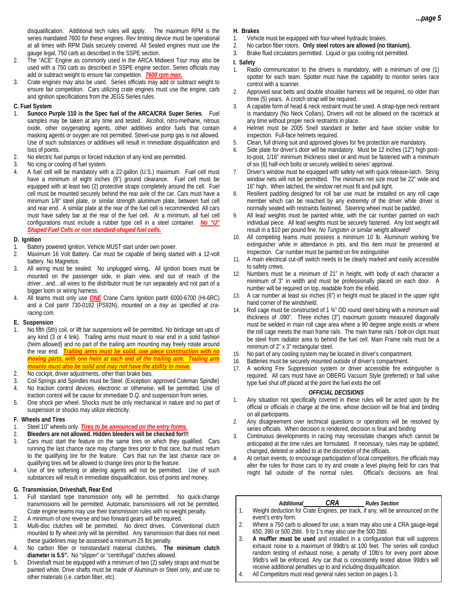disqualification. Additional tech rules will apply. The maximum RPM is the series mandated 7600 for these engines. Rev limiting device must be operational at all times with RPM Dials securely covered. All Sealed engines must use the gauge legal, 750 carb as described in the SSPE section.

- 2. The "ACE" Engine as commonly used in the ARCA Midwest Tour may also be used with a 750 carb as described in SSPE engine section. Series officials may add or subtract weight to ensure fair competition. *7600 rpm max.*
- 3. Crate engines may also be used. Series officials may add or subtract weight to ensure fair competition. Cars utilizing crate engines must use the engine, carb and ignition specifications from the JEGS Series rules.

#### **C. Fuel System**

- 1. **Sunoco Purple 110 is the Spec fuel of the ARCA/CRA Super Series**. Fuel samples may be taken at any time and tested. Alcohol, nitro-methane, nitrous oxide, other oxygenating agents, other additives and/or fuels that contain masking agents or oxygen are not permitted. Street-use pump gas is not allowed. Use of such substances or additives will result in immediate disqualification and loss of points.
- 2. No electric fuel pumps or forced induction of any kind are permitted.
- 3. No icing or cooling of fuel system.
- 4. A fuel cell will be mandatory with a 22-gallon (U.S.) maximum. Fuel cell must have a minimum of eight inches (8") ground clearance. Fuel cell must be equipped with at least two (2) protective straps completely around the cell. Fuel cell must be mounted securely behind the rear axle of the car. Cars must have a minimum 1/8" steel plate, or similar strength aluminum plate, between fuel cell and rear end. A similar plate at the rear of the fuel cell is recommended. All cars must have safety bar at the rear of the fuel cell. At a minimum, all fuel cell configurations must include a rubber type cell in a steel container. *No "U" Shaped Fuel Cells or non standard-shaped fuel cells.*

#### **D. Ignition**

- 1. Battery powered ignition. Vehicle MUST start under own power.
- 2. Maximum 16 Volt Battery. Car must be capable of being started with a 12-volt battery. No Magnetos.
- 3. All wiring must be sealed. No unplugged wiring**.** All ignition boxes must be mounted on the passenger side, in plain view, and out of reach of the driver…and…all wires to the distributor must be run separately and not part of a bigger loom or wiring harness.
- All teams must only use **ONE** Crane Cams Ignition part# 6000-6700 (HI-6RC) and a Coil part# 730-0192 (PS92N), *mounted on a tray as specified at craracing.com.*

#### **E. Suspension**

- 1. No fifth (5th) coil, or lift bar suspensions will be permitted. No birdcage set-ups of any kind (3 or 4 link). Trailing arms must mount to rear end in a solid fashion (heim allowed) and no part of the trailing arm mounting may freely rotate around the rear end. *Trailing arms must be solid, one piece construction with no moving parts, with one heim at each end of the trailing arm. Trailing arm mounts must also be solid and may not have the ability to move.*
- 2. No cockpit, driver adjustments, other than brake bias.
- 3. Coil Springs and Spindles must be Steel. (Exception: approved Coleman Spindle)
- 4. No traction control devices, electronic or otherwise, will be permitted. Use of traction control will be cause for immediate D.Q. and suspension from series.
- 5. One shock per wheel. Shocks must be only mechanical in nature and no part of suspension or shocks may utilize electricity.

#### **F. Wheels and Tires**

- 1. Steel 10" wheels only. *Tires to be announced on the entry forms.*
- 2. **Bleeders are not allowed. Hidden bleeders will be checked for!!!**
- 3. Cars must start the feature on the same tires on which they qualified. Cars running the last chance race may change tires prior to that race, but must return to the qualifying tire for the feature. Cars that run the last chance race on qualifying tires will be allowed to change tires prior to the feature.
- Use of tire softening or altering agents will not be permitted. Use of such substances will result in immediate disqualification, loss of points and money.

#### **G. Transmission, Driveshaft, Rear End**

- Full standard type transmission only will be permitted. No quick-change transmissions will be permitted. Automatic transmissions will not be permitted. Crate engine teams may use their transmission rules with no weight penalty.
- 2. A minimum of one reverse and two forward gears will be required.
- Multi-disc clutches will be permitted. No direct drives. Conventional clutch mounted to fly wheel only will be permitted. Any transmission that does not meet these guidelines may be assessed a minimum 25 lbs penalty.
- 4. No carbon fiber or nonstandard material clutches**. The minimum clutch diameter is 5.5".** No "slipper" or "centrifugal" clutches allowed.
- 5. Driveshaft must be equipped with a minimum of two (2) safety straps and must be painted white. Drive shafts must be made of Aluminum or Steel only, and use no other materials (i.e. carbon fiber, etc).

#### **H. Brakes**

- 1. Vehicle must be equipped with four-wheel hydraulic brakes.
- 2. No carbon fiber rotors. **Only steel rotors are allowed (no titanium).**
- 3. Brake fluid circulators permitted. Liquid or gas cooling not permitted.

#### **I. Safety**

- 1. Radio communication to the drivers is mandatory, with a minimum of one (1) spotter for each team. Spotter must have the capability to monitor series race control with a scanner.
- 2. Approved seat belts and double shoulder harness will be required, no older than three (5) years. A crotch strap will be required.
- 3. A capable form of head & neck restraint must be used. A strap-type neck restraint is mandatory (No Neck Collars). Drivers will not be allowed on the racetrack at any time without proper neck restraints in place.
- 4. Helmet must be 2005 Snell standard or better and have sticker visible for inspection. Full-face helmets required.
- 5. Clean, full driving suit and approved gloves for fire protection are mandatory.
- 6. Side plate for driver's door will be mandatory. Must be 12 inches (12") high postto-post, 1/16" minimum thickness steel or and must be fastened with a minimum of six (6) half-inch bolts or securely welded to series' approval.
- 7. Driver's window must be equipped with safety net with quick release-latch. String window nets will not be permitted. The minimum net size must be 22" wide and 16" high. When latched, the window net must fit and pull tight.
- 8. Resilient padding designed for roll bar use must be installed on any roll cage member which can be reached by any extremity of the driver while driver is normally seated with restraints fastened. Steering wheel must be padded.
- All lead weights must be painted white, with the car number painted on each individual piece. All lead weights must be securely fastened. Any lost weight will result in a \$10 per pound fine. *No Tungsten or similar weight allowed!*
- 10. All competing teams must possess a minimum 10 lb. Aluminum working fire extinguisher while in attendance in pits, and this item must be presented at inspection. Car number must be painted on fire extinguisher
- 11. A main electrical cut-off switch needs to be clearly marked and easily accessible to safety crews.
- 12. Numbers must be a minimum of 21" in height, with body of each character a minimum of 3" in width and must be professionally placed on each door. A number will be required on top, readable from the infield.
- 13. A car number at least six inches (6") in height must be placed in the upper right hand corner of the windshield.
- 14. Roll cage must be constructed of 1 ¾" OD round steel tubing with a minimum wall thickness of .090". Three inches (3") maximum gussets measured diagonally must be welded in main roll cage area where a 90 degree angle exists or where the roll cage meets the main frame rails. The main frame rails / bolt-on clips must be steel from radiator area to behind the fuel cell. Main Frame rails must be a minimum of 2" x 3" rectangular steel.
- 15. No part of any cooling system may be located in driver's compartment.
- 16. Batteries must be securely mounted outside of driver's compartment.
- A working Fire Suppression system or driver accessible fire extinguisher is required. All cars must have an OBERG Vacuum Style (preferred) or ball valve type fuel shut off placed at the point the fuel exits the cell

#### *OFFICIAL DECISIONS*

- 1. Any situation not specifically covered in these rules will be acted upon by the official or officials in charge at the time, whose decision will be final and binding on all participants.
- 2. Any disagreement over technical questions or operations will be resolved by series officials. When decision is rendered, decision is final and binding
- 3. Continuous developments in racing may necessitate changes which cannot be anticipated at the time rules are formulated. If necessary, rules may be updated, changed, deleted or added to at the discretion of the officials.
- At certain events, to encourage participation of local competitors, the officials may alter the rules for those cars to try and create a level playing field for cars that might fall outside of the normal rules. Official's decisions are final.

#### *Additional CRA Rules Section*

- 1. Weight deduction for Crate Engines, per track, if any, will be announced on the event's entry form.
- 2. Where a 750 carb is allowed for use, a team may also use a CRA gauge-legal 650, 390 or 500 2bbl. 9 to 1's may also use the 500 2bbl.
- 3. **A muffler must be used** and installed in a configuration that will suppress exhaust noise to a maximum of 99db's at 100 feet. The series will conduct random testing of exhaust noise, a penalty of 10lb's for every point above 99db's will be enforced. Any car that is consistently tested above 99db's will receive additional penalties up to and including disqualification.
- 4. All Competitors must read general rules section on pages 1-3.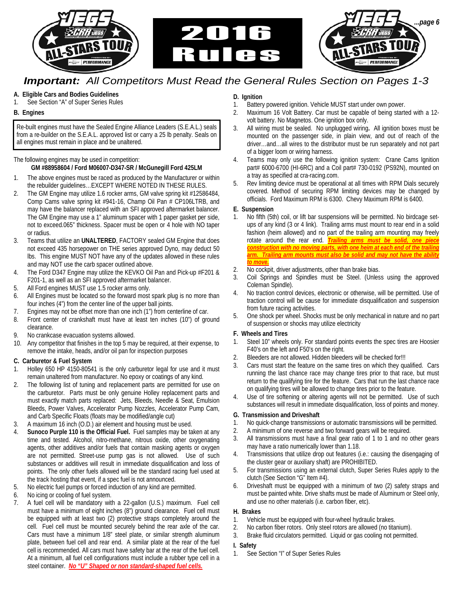

## *Important: All Competitors Must Read the General Rules Section on Pages 1-3*

## **A. Eligible Cars and Bodies Guidelines**

1. See Section "A" of Super Series Rules

## **B. Engines**

Re-built engines must have the Sealed Engine Alliance Leaders (S.E.A.L.) seals from a re-builder on the S.E.A.L. approved list or carry a 25 lb penalty. Seals on all engines must remain in place and be unaltered.

The following engines may be used in competition:

## **GM #88958604 / Ford M06007-D347-SR / McGunegill Ford 425LM**

- 1. The above engines must be raced as produced by the Manufacturer or within the rebuilder guidelines…EXCEPT WHERE NOTED IN THESE RULES.
- 2. The GM Engine may utilize 1.6 rocker arms, GM valve spring kit #12586484, Comp Cams valve spring kit #941-16, Champ Oil Pan # CP106LTRB, and may have the balancer replaced with an SFI approved aftermarket balancer. The GM Engine may use a 1" aluminum spacer with 1 paper gasket per side, not to exceed.065" thickness. Spacer must be open or 4 hole with NO taper or radius.
- 3. Teams that utilize an **UNALTERED**, FACTORY sealed GM Engine that does not exceed 435 horsepower on THE series approved Dyno, may deduct 50 lbs. This engine MUST NOT have any of the updates allowed in these rules and may NOT use the carb spacer outlined above.
- 4. The Ford D347 Engine may utilize the KEVKO Oil Pan and Pick-up #F201 & F201-1, as well as an SFI approved aftermarket balancer.
- 5. All Ford engines MUST use 1.5 rocker arms only.
- 6. All Engines must be located so the forward most spark plug is no more than four inches (4") from the center line of the upper ball joints.
- 7. Engines may not be offset more than one inch (1") from centerline of car.
- 8. Front center of crankshaft must have at least ten inches (10") of ground clearance.
- 9. No crankcase evacuation systems allowed.
- 10. Any competitor that finishes in the top 5 may be required, at their expense, to remove the intake, heads, and/or oil pan for inspection purposes

## **C. Carburetor & Fuel System**

- 1. Holley 650 HP 4150-80541 is the only carburetor legal for use and it must remain unaltered from manufacturer. No epoxy or coatings of any kind.
- 2. The following list of tuning and replacement parts are permitted for use on the carburetor. Parts must be only genuine Holley replacement parts and must exactly match parts replaced: Jets, Bleeds, Needle & Seat, Emulsion Bleeds, Power Valves, Accelerator Pump Nozzles, Accelerator Pump Cam, and Carb Specific Floats (floats may be modified/angle cut)
- 3. A maximum 16 inch (O.D.) air element and housing must be used.
- Sunoco Purple 110 is the Official Fuel. Fuel samples may be taken at any time and tested. Alcohol, nitro-methane, nitrous oxide, other oxygenating agents, other additives and/or fuels that contain masking agents or oxygen are not permitted. Street-use pump gas is not allowed. Use of such substances or additives will result in immediate disqualification and loss of points. The only other fuels allowed will be the standard racing fuel used at the track hosting that event, if a spec fuel is not announced.
- 5. No electric fuel pumps or forced induction of any kind are permitted.
- 6. No icing or cooling of fuel system.
- 7. A fuel cell will be mandatory with a 22-gallon (U.S.) maximum. Fuel cell must have a minimum of eight inches (8") ground clearance. Fuel cell must be equipped with at least two (2) protective straps completely around the cell. Fuel cell must be mounted securely behind the rear axle of the car. Cars must have a minimum 1/8" steel plate, or similar strength aluminum plate, between fuel cell and rear end. A similar plate at the rear of the fuel cell is recommended. All cars must have safety bar at the rear of the fuel cell. At a minimum, all fuel cell configurations must include a rubber type cell in a steel container. *No "U" Shaped or non standard-shaped fuel cells.*

## **D. Ignition**

- 1. Battery powered ignition. Vehicle MUST start under own power.
- 2. Maximum 16 Volt Battery. Car must be capable of being started with a 12 volt battery. No Magnetos. One ignition box only.
- 3. All wiring must be sealed. No unplugged wiring**.** All ignition boxes must be mounted on the passenger side, in plain view, and out of reach of the driver…and…all wires to the distributor must be run separately and not part of a bigger loom or wiring harness.
- 4. Teams may only use the following ignition system: Crane Cams Ignition part# 6000-6700 (HI-6RC) and a Coil part# 730-0192 (PS92N), mounted on a tray as specified at cra-racing.com.
- 5. Rev limiting device must be operational at all times with RPM Dials securely covered. Method of securing RPM limiting devices may be changed by officials. Ford Maximum RPM is 6300. Chevy Maximum RPM is 6400.

## **E. Suspension**

- 1. No fifth (5th) coil, or lift bar suspensions will be permitted. No birdcage setups of any kind (3 or 4 link). Trailing arms must mount to rear end in a solid fashion (heim allowed) and no part of the trailing arm mounting may freely rotate around the rear end. *Trailing arms must be solid, one piece construction with no moving parts, with one heim at each end of the trailing*  arm. Trailing arm mounts must also be solid and may not have the abilit *to move.*
- 2. No cockpit, driver adjustments, other than brake bias.
- 3. Coil Springs and Spindles must be Steel. (Unless using the approved Coleman Spindle).
- 4. No traction control devices, electronic or otherwise, will be permitted. Use of traction control will be cause for immediate disqualification and suspension from future racing activities.
- 5. One shock per wheel. Shocks must be only mechanical in nature and no part of suspension or shocks may utilize electricity

## **F. Wheels and Tires**

- 1. Steel 10" wheels only. For standard points events the spec tires are Hoosier F40's on the left and F50's on the right.
- 2. Bleeders are not allowed. Hidden bleeders will be checked for!!!
- 3. Cars must start the feature on the same tires on which they qualified. Cars running the last chance race may change tires prior to that race, but must return to the qualifying tire for the feature. Cars that run the last chance race on qualifying tires will be allowed to change tires prior to the feature.
- 4. Use of tire softening or altering agents will not be permitted. Use of such substances will result in immediate disqualification, loss of points and money.

## **G. Transmission and Driveshaft**

- 1. No quick-change transmissions or automatic transmissions will be permitted.
- 2. A minimum of one reverse and two forward gears will be required.
- 3. All transmissions must have a final gear ratio of 1 to 1 and no other gears may have a ratio numerically lower than 1.18.
- 4. Transmissions that utilize drop out features (i.e.: causing the disengaging of the cluster gear or auxiliary shaft) are PROHIBITED.
- 5. For transmissions using an external clutch, Super Series Rules apply to the clutch (See Section "G" Item #4).
- 6. Driveshaft must be equipped with a minimum of two (2) safety straps and must be painted white. Drive shafts must be made of Aluminum or Steel only, and use no other materials (i.e. carbon fiber, etc).

## **H. Brakes**

- 1. Vehicle must be equipped with four-wheel hydraulic brakes.
- 2. No carbon fiber rotors. Only steel rotors are allowed (no titanium).
- 3. Brake fluid circulators permitted. Liquid or gas cooling not permitted.

## **I. Safety**

1. See Section "I" of Super Series Rules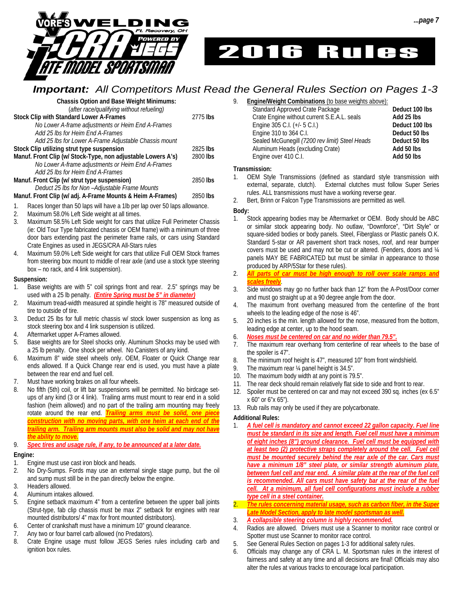

# 2016 Rules

## *Important: All Competitors Must Read the General Rules Section on Pages 1-3*

**Chassis Option and Base Weight Minimums:**  (*after race/qualifying without refueling)* **Stock Clip with Standard Lower A-Frames** 2775 **lbs** 

 *No Lower A-frame adjustments or Heim End A-Frames Add 25 lbs for Heim End A-Frames Add 25 lbs for Lower A-Frame Adjustable Chassis mount*  **Stock Clip utilizing strut type suspension** 2825 **lbs Manuf. Front Clip (w/ Stock-Type, non adjustable Lowers A's)** 2800 **lbs** *No Lower A-frame adjustments or Heim End A-Frames* 

 *Add 25 lbs for Heim End A-Frames*  **Manuf. Front Clip (w/ strut type suspension)** 2850 **lbs** *Deduct 25 lbs for Non –Adjustable Frame Mounts* 

## **Manuf. Front Clip (w/ adj. A-Frame Mounts & Heim A-Frames)** 2850 **lbs**

1. Races longer than 50 laps will have a 1lb per lap over 50 laps allowance.

- 2. Maximum 58.0% Left Side weight at all times.
- 3. Maximum 58.5% Left Side weight for cars that utilize Full Perimeter Chassis (ie: Old Tour Type fabricated chassis or OEM frame) with a minimum of three door bars extending past the perimeter frame rails, or cars using Standard Crate Engines as used in JEGS/CRA All-Stars rules
- Maximum 59.0% Left Side weight for cars that utilize Full OEM Stock frames from steering box mount to middle of rear axle (and use a stock type steering box – no rack, and 4 link suspension).

#### **Suspension:**

- 1. Base weights are with 5" coil springs front and rear. 2.5" springs may be used with a 25 lb penalty. *(Entire Spring must be 5" in diameter)*
- 2. Maximum tread-width measured at spindle height is 78" measured outside of tire to outside of tire.
- 3. Deduct 25 lbs for full metric chassis w/ stock lower suspension as long as stock steering box and 4 link suspension is utilized.
- 4. Aftermarket upper A-Frames allowed.
- 5. Base weights are for Steel shocks only. Aluminum Shocks may be used with a 25 lb penalty. One shock per wheel. No Canisters of any kind.
- Maximum 8" wide steel wheels only. OEM, Floater or Quick Change rear ends allowed. If a Quick Change rear end is used, you must have a plate between the rear end and fuel cell.
- 7. Must have working brakes on all four wheels.
- No fifth (5th) coil, or lift bar suspensions will be permitted. No birdcage setups of any kind (3 or 4 link). Trailing arms must mount to rear end in a solid fashion (heim allowed) and no part of the trailing arm mounting may freely rotate around the rear end. *Trailing arms must be solid, one piec construction with no moving parts, with one heim at each end of the trailing arm. Trailing arm mounts must also be solid and may not have the ability to move.*
- 9. *Spec tires and usage rule, if any, to be announced at a later date.*

## **Engine:**

- 1. Engine must use cast iron block and heads.
- 2. No Dry-Sumps. Fords may use an external single stage pump, but the oil and sump must still be in the pan directly below the engine.
- 3. Headers allowed.
- 4. Aluminum intakes allowed.
- 5. Engine setback maximum 4" from a centerline between the upper ball joints (Strut-type, fab clip chassis must be max 2" setback for engines with rear mounted distributors/ 4" max for front mounted distributors).
- 6. Center of crankshaft must have a minimum 10" ground clearance.
- 7. Any two or four barrel carb allowed (no Predators).
- 8. Crate Engine usage must follow JEGS Series rules including carb and ignition box rules.

9. **Engine/Weight Combinations** (to base weights above):

| Deduct 100 lbs |
|----------------|
| Add 25 lbs     |
| Deduct 100 lbs |
| Deduct 50 lbs  |
| Deduct 50 lbs  |
| Add 50 lbs     |
| Add 50 lbs     |
|                |

#### **Transmission:**

- 1. OEM Style Transmissions (defined as standard style transmission with external, separate, clutch). External clutches must follow Super Series rules. ALL transmissions must have a working reverse gear.
- 2. Bert, Brinn or Falcon Type Transmissions are permitted as well.

#### **Body:**

- 1. Stock appearing bodies may be Aftermarket or OEM. Body should be ABC or similar stock appearing body. No outlaw, "Downforce", "Dirt Style" or square-sided bodies or body panels. Steel, Fiberglass or Plastic panels O.K. Standard 5-star or AR pavement short track noses, roof, and rear bumper covers must be used and may not be cut or altered. (Fenders, doors and ¼ panels MAY BE FABRICATED but must be similar in appearance to those produced by ARP/5Star for these rules).
- 2. *All parts of car must be high enough to roll over scale ramps and scales freely*.
- 3. Side windows may go no further back than 12" from the A-Post/Door corner and must go straight up at a 90 degree angle from the door.
- 4. The maximum front overhang measured from the centerline of the front wheels to the leading edge of the nose is 46".
- 5. 20 inches is the min. length allowed for the nose, measured from the bottom, leading edge at center, up to the hood seam.
- 6. *Noses must be centered on car and no wider than 79.5".*
- 7. The maximum rear overhang from centerline of rear wheels to the base of the spoiler is 47".
- 8. The minimum roof height is 47", measured 10" from front windshield.
- 9. The maximum rear ¼ panel height is 34.5".
- 10. The maximum body width at any point is 79.5".
- 11. The rear deck should remain relatively flat side to side and front to rear.
- 12. Spoiler must be centered on car and may not exceed 390 sq. inches (ex 6.5" x 60" or 6"x 65").
- 13. Rub rails may only be used if they are polycarbonate.

#### **Additional Rules:**

- 1. *A fuel cell is mandatory and cannot exceed 22 gallon capacity. Fuel line must be standard in its size and length. Fuel cell must have a minimum of eight inches (8") ground clearance. Fuel cell must be equipped with*  at least two (2) protective straps completely around the cell. Fuel cell *must be mounted securely behind the rear axle of the car. Cars must have a minimum 1/8" steel plate, or similar strength aluminum plate,*  between fuel cell and rear end. A similar plate at the rear of the fuel cell *is recommended. All cars must have safety bar at the rear of the fuel cell. At a minimum, all fuel cell configurations must include a rubber type cell in a steel container.*
- 2. *The rules concerning material usage, such as carbon fiber, in the Super Late Model Section, apply to late model sportsman as well.*
- 3. *A collapsible steering column is highly recommended.*
- 4. Radios are allowed. Drivers must use a Scanner to monitor race control or Spotter must use Scanner to monitor race control.
- 5. See General Rules Section on pages 1-3 for additional safety rules.
- 6. Officials may change any of CRA L. M. Sportsman rules in the interest of fairness and safety at any time and all decisions are final! Officials may also alter the rules at various tracks to encourage local participation.